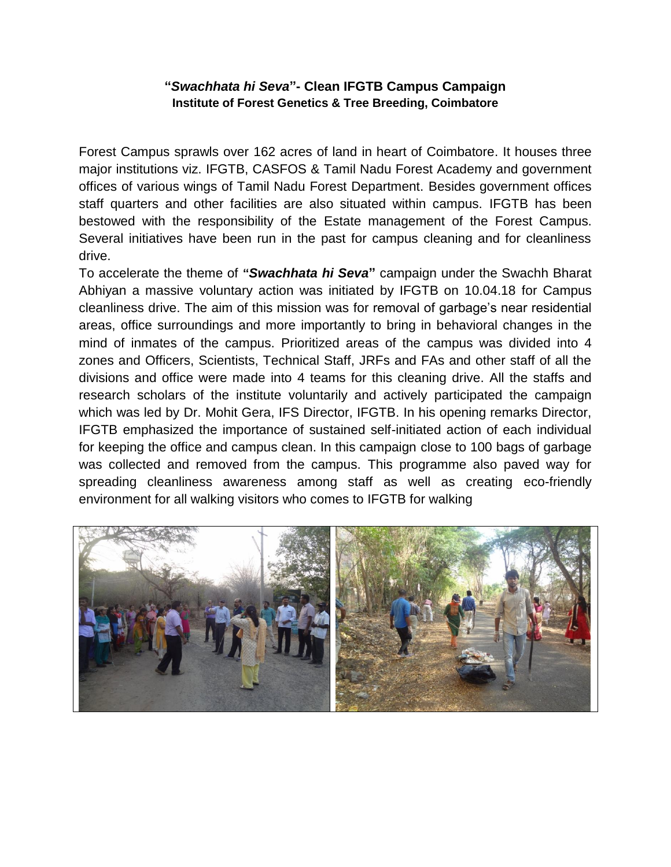## **"***Swachhata hi Seva***"- Clean IFGTB Campus Campaign Institute of Forest Genetics & Tree Breeding, Coimbatore**

Forest Campus sprawls over 162 acres of land in heart of Coimbatore. It houses three major institutions viz. IFGTB, CASFOS & Tamil Nadu Forest Academy and government offices of various wings of Tamil Nadu Forest Department. Besides government offices staff quarters and other facilities are also situated within campus. IFGTB has been bestowed with the responsibility of the Estate management of the Forest Campus. Several initiatives have been run in the past for campus cleaning and for cleanliness drive.

To accelerate the theme of **"***Swachhata hi Seva***"** campaign under the Swachh Bharat Abhiyan a massive voluntary action was initiated by IFGTB on 10.04.18 for Campus cleanliness drive. The aim of this mission was for removal of garbage's near residential areas, office surroundings and more importantly to bring in behavioral changes in the mind of inmates of the campus. Prioritized areas of the campus was divided into 4 zones and Officers, Scientists, Technical Staff, JRFs and FAs and other staff of all the divisions and office were made into 4 teams for this cleaning drive. All the staffs and research scholars of the institute voluntarily and actively participated the campaign which was led by Dr. Mohit Gera, IFS Director, IFGTB. In his opening remarks Director, IFGTB emphasized the importance of sustained self-initiated action of each individual for keeping the office and campus clean. In this campaign close to 100 bags of garbage was collected and removed from the campus. This programme also paved way for spreading cleanliness awareness among staff as well as creating eco-friendly environment for all walking visitors who comes to IFGTB for walking